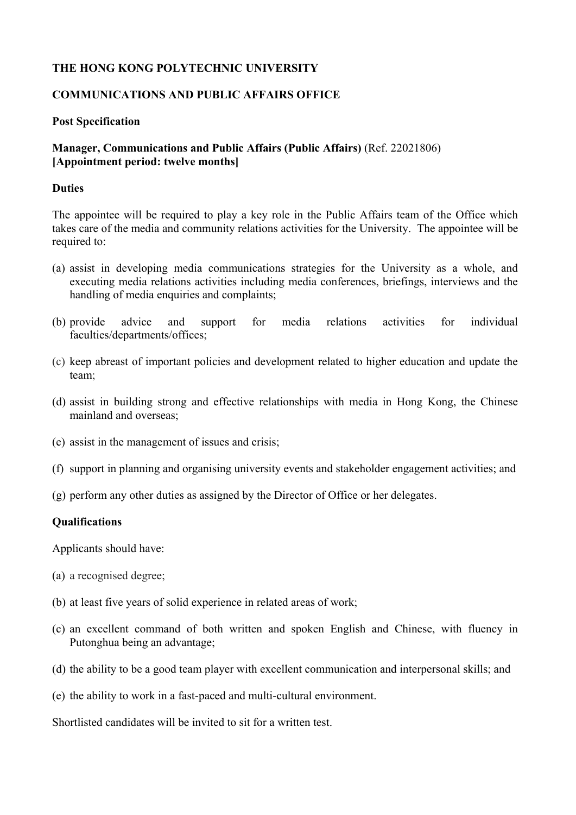### **THE HONG KONG POLYTECHNIC UNIVERSITY**

### **COMMUNICATIONS AND PUBLIC AFFAIRS OFFICE**

#### **Post Specification**

## **Manager, Communications and Public Affairs (Public Affairs)** (Ref. 22021806) **[Appointment period: twelve months]**

#### **Duties**

The appointee will be required to play a key role in the Public Affairs team of the Office which takes care of the media and community relations activities for the University. The appointee will be required to:

- (a) assist in developing media communications strategies for the University as a whole, and executing media relations activities including media conferences, briefings, interviews and the handling of media enquiries and complaints;
- (b) provide advice and support for media relations activities for individual faculties/departments/offices;
- (c) keep abreast of important policies and development related to higher education and update the team;
- (d) assist in building strong and effective relationships with media in Hong Kong, the Chinese mainland and overseas;
- (e) assist in the management of issues and crisis;
- (f) support in planning and organising university events and stakeholder engagement activities; and
- (g) perform any other duties as assigned by the Director of Office or her delegates.

#### **Qualifications**

Applicants should have:

- (a) a recognised degree;
- (b) at least five years of solid experience in related areas of work;
- (c) an excellent command of both written and spoken English and Chinese, with fluency in Putonghua being an advantage;
- (d) the ability to be a good team player with excellent communication and interpersonal skills; and
- (e) the ability to work in a fast-paced and multi-cultural environment.

Shortlisted candidates will be invited to sit for a written test.